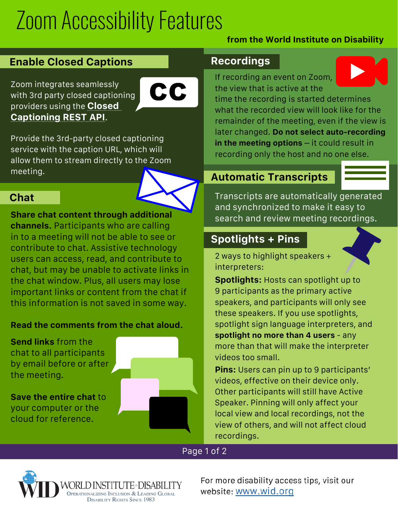# Zoom Accessibility Features

### **from the World Institute on Disability**

## **Enable Closed Captions**

Zoom integrates seamlessly with 3rd party closed captioning providers using the **Closed Captioning REST API**.



Provide the 3rd-party closed captioning service with the caption URL, which will allow them to stream directly to the Zoom meeting.

## **Chat**

**Share chat content through additional channels.** Participants who are calling in to a meeting will not be able to see or contribute to chat. Assistive technology users can access, read, and contribute to chat, but may be unable to activate links in the chat window. Plus, all users may lose important links or content from the chat if this information is not saved in some way.

#### **Read the comments from the chat aloud.**

**Send links** from the chat to all participants by email before or after the meeting.

**Save the entire chat** to your computer or the cloud for reference.



### **Recordings**

If recording an event on Zoom, the view that is active at the



time the recording is started determines what the recorded view will look like for the remainder of the meeting, even if the view is later changed. **Do not select auto-recording in the meeting options** – it could result in recording only the host and no one else.

## **Automatic Transcripts**

Transcripts are automatically generated and synchronized to make it easy to search and review meeting recordings.

## **Spotlights + Pins**

2 ways to highlight speakers + interpreters:

**Spotlights:** Hosts can spotlight up to 9 participants as the primary active speakers, and participants will only see these speakers. If you use spotlights, spotlight sign language interpreters, and **spotlight no more than 4 users** - any more than that will make the interpreter videos too small.

**Pins:** Users can pin up to 9 participants' videos, effective on their device only. Other participants will still have Active Speaker. Pinning will only affect your local view and local recordings, not the view of others, and will not affect cloud recordings.

### Page 1 of 2



For more disability access tips, visit our website: www.wid.org